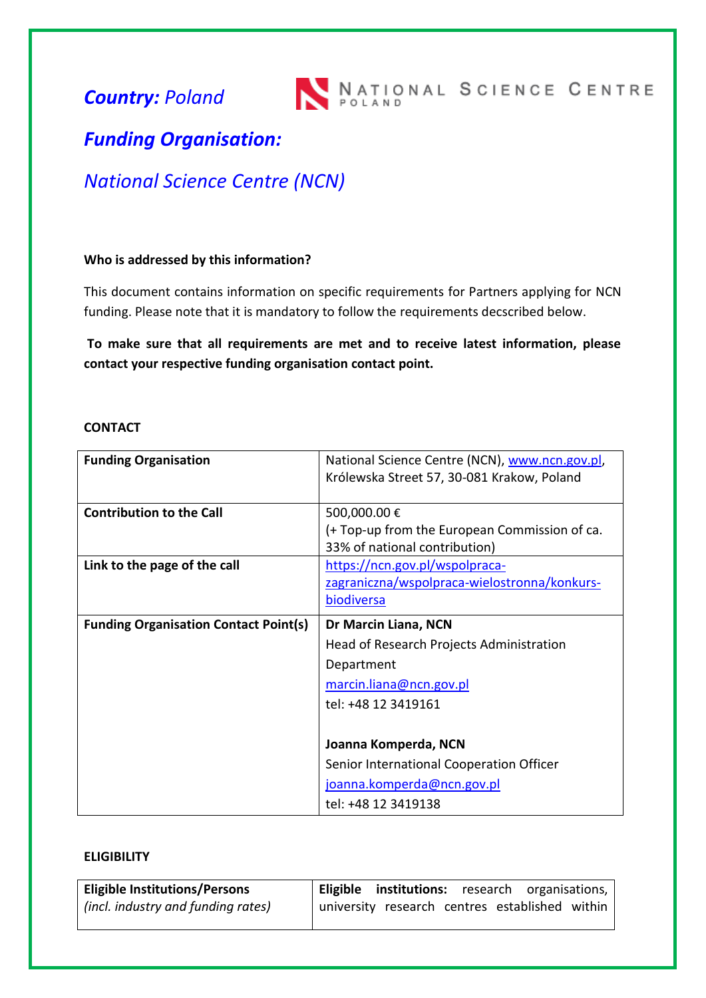*Country: Poland*

# *Funding Organisation:*

## *National Science Centre (NCN)*

### **Who is addressed by this information?**

This document contains information on specific requirements for Partners applying for NCN funding. Please note that it is mandatory to follow the requirements decscribed below.

**To make sure that all requirements are met and to receive latest information, please contact your respective funding organisation contact point.**

#### **CONTACT**

| <b>Funding Organisation</b>                  | National Science Centre (NCN), www.ncn.gov.pl, |
|----------------------------------------------|------------------------------------------------|
|                                              | Królewska Street 57, 30-081 Krakow, Poland     |
|                                              |                                                |
| <b>Contribution to the Call</b>              | 500,000.00€                                    |
|                                              | (+ Top-up from the European Commission of ca.  |
|                                              | 33% of national contribution)                  |
| Link to the page of the call                 | https://ncn.gov.pl/wspolpraca-                 |
|                                              | zagraniczna/wspolpraca-wielostronna/konkurs-   |
|                                              | biodiversa                                     |
| <b>Funding Organisation Contact Point(s)</b> | Dr Marcin Liana, NCN                           |
|                                              |                                                |
|                                              | Head of Research Projects Administration       |
|                                              | Department                                     |
|                                              | marcin.liana@ncn.gov.pl                        |
|                                              | tel: +48 12 3419161                            |
|                                              |                                                |
|                                              | Joanna Komperda, NCN                           |
|                                              | Senior International Cooperation Officer       |
|                                              | joanna.komperda@ncn.gov.pl                     |

## **ELIGIBILITY**

| <b>Eligible Institutions/Persons</b> | Eligible institutions: research organisations, |
|--------------------------------------|------------------------------------------------|
| (incl. industry and funding rates)   | university research centres established within |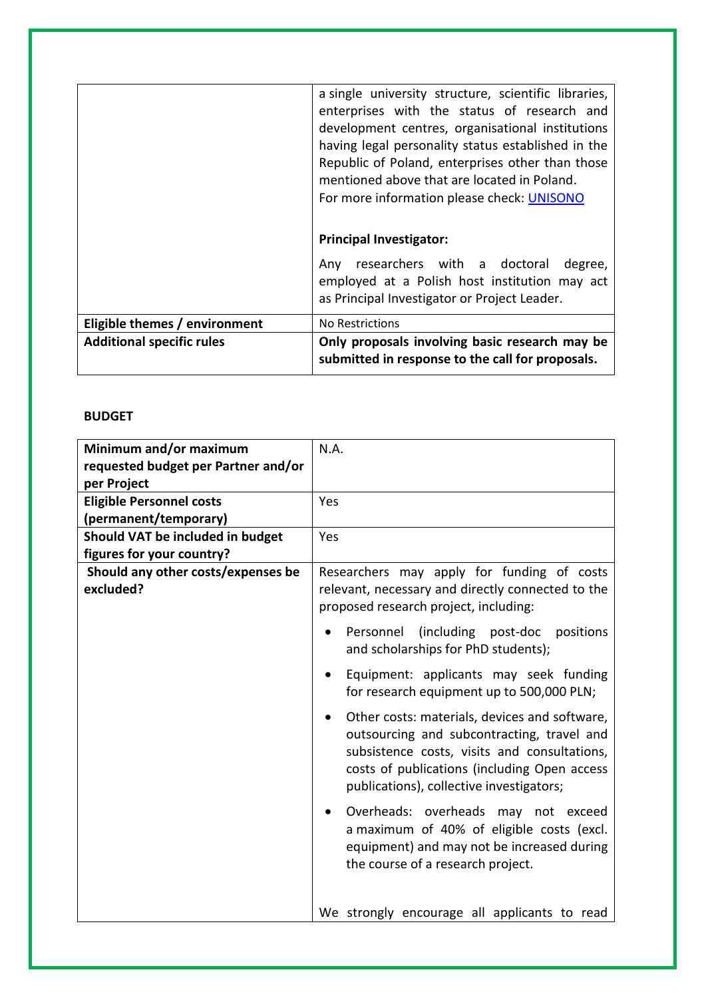|                                  | a single university structure, scientific libraries,<br>enterprises with the status of research and<br>development centres, organisational institutions<br>having legal personality status established in the<br>Republic of Poland, enterprises other than those<br>mentioned above that are located in Poland.<br>For more information please check: UNISONO |
|----------------------------------|----------------------------------------------------------------------------------------------------------------------------------------------------------------------------------------------------------------------------------------------------------------------------------------------------------------------------------------------------------------|
|                                  | <b>Principal Investigator:</b>                                                                                                                                                                                                                                                                                                                                 |
|                                  | researchers with a doctoral<br>degree,<br>Anv<br>employed at a Polish host institution may act<br>as Principal Investigator or Project Leader.                                                                                                                                                                                                                 |
| Eligible themes / environment    | No Restrictions                                                                                                                                                                                                                                                                                                                                                |
| <b>Additional specific rules</b> | Only proposals involving basic research may be<br>submitted in response to the call for proposals.                                                                                                                                                                                                                                                             |

## **BUDGET**

| Minimum and/or maximum              | N.A.                                                                                                                                                                                                                                    |
|-------------------------------------|-----------------------------------------------------------------------------------------------------------------------------------------------------------------------------------------------------------------------------------------|
| requested budget per Partner and/or |                                                                                                                                                                                                                                         |
| per Project                         |                                                                                                                                                                                                                                         |
| <b>Eligible Personnel costs</b>     | Yes                                                                                                                                                                                                                                     |
| (permanent/temporary)               |                                                                                                                                                                                                                                         |
| Should VAT be included in budget    | Yes                                                                                                                                                                                                                                     |
| figures for your country?           |                                                                                                                                                                                                                                         |
| Should any other costs/expenses be  | Researchers may apply for funding of costs                                                                                                                                                                                              |
| excluded?                           | relevant, necessary and directly connected to the                                                                                                                                                                                       |
|                                     | proposed research project, including:                                                                                                                                                                                                   |
|                                     | (including post-doc<br>Personnel<br>positions<br>and scholarships for PhD students);                                                                                                                                                    |
|                                     | Equipment: applicants may seek funding<br>for research equipment up to 500,000 PLN;                                                                                                                                                     |
|                                     | Other costs: materials, devices and software,<br>outsourcing and subcontracting, travel and<br>subsistence costs, visits and consultations,<br>costs of publications (including Open access<br>publications), collective investigators; |
|                                     | Overheads: overheads may not exceed<br>a maximum of 40% of eligible costs (excl.<br>equipment) and may not be increased during<br>the course of a research project.                                                                     |
|                                     | We strongly encourage all applicants to read                                                                                                                                                                                            |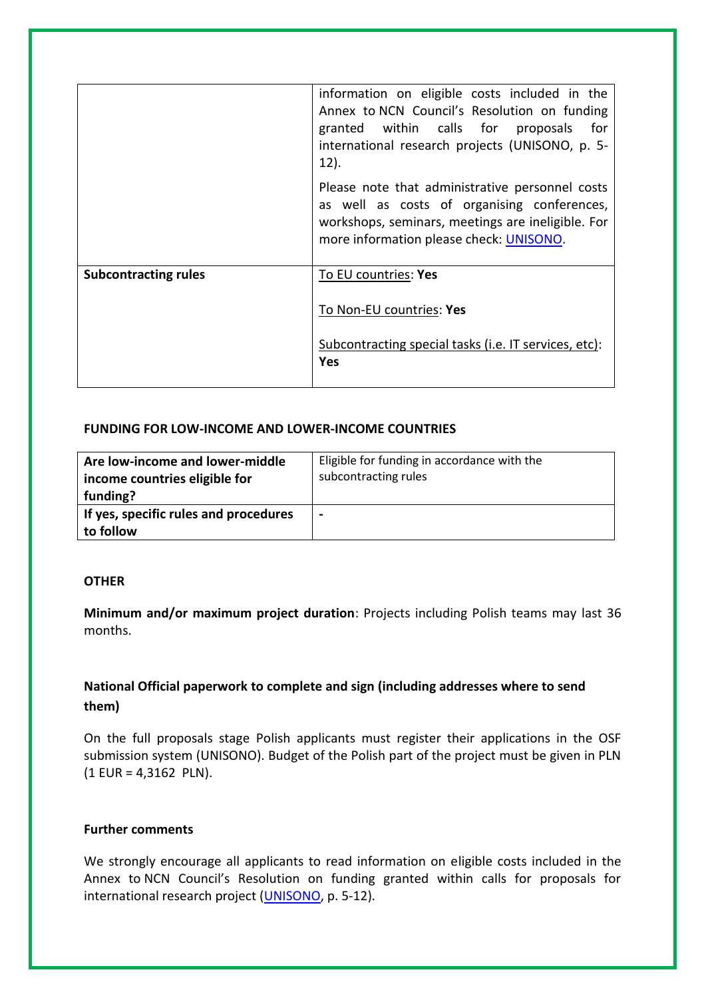|                             | information on eligible costs included in the<br>Annex to NCN Council's Resolution on funding<br>granted within calls for proposals<br>for <b>f</b><br>international research projects (UNISONO, p. 5-<br>$12$ ). |
|-----------------------------|-------------------------------------------------------------------------------------------------------------------------------------------------------------------------------------------------------------------|
|                             | Please note that administrative personnel costs<br>as well as costs of organising conferences,<br>workshops, seminars, meetings are ineligible. For<br>more information please check: UNISONO.                    |
| <b>Subcontracting rules</b> | To EU countries: Yes<br>To Non-EU countries: Yes                                                                                                                                                                  |
|                             | Subcontracting special tasks (i.e. IT services, etc):<br><b>Yes</b>                                                                                                                                               |

#### **FUNDING FOR LOW-INCOME AND LOWER-INCOME COUNTRIES**

| Are low-income and lower-middle<br>income countries eligible for<br>funding? | Eligible for funding in accordance with the<br>subcontracting rules |
|------------------------------------------------------------------------------|---------------------------------------------------------------------|
| If yes, specific rules and procedures<br>to follow                           | $\blacksquare$                                                      |

#### **OTHER**

**Minimum and/or maximum project duration**: Projects including Polish teams may last 36 months.

## **National Official paperwork to complete and sign (including addresses where to send them)**

On the full proposals stage Polish applicants must register their applications in the OSF submission system (UNISONO). Budget of the Polish part of the project must be given in PLN (1 EUR = 4,3162 PLN).

#### **Further comments**

We strongly encourage all applicants to read information on eligible costs included in the Annex to NCN Council's Resolution on funding granted within calls for proposals for international research project [\(UNISONO,](https://ncn.gov.pl/sites/default/files/pliki/uchwaly-rady/2017/uchwala31_2017-zal1.pdf?ncn) p. 5-12).